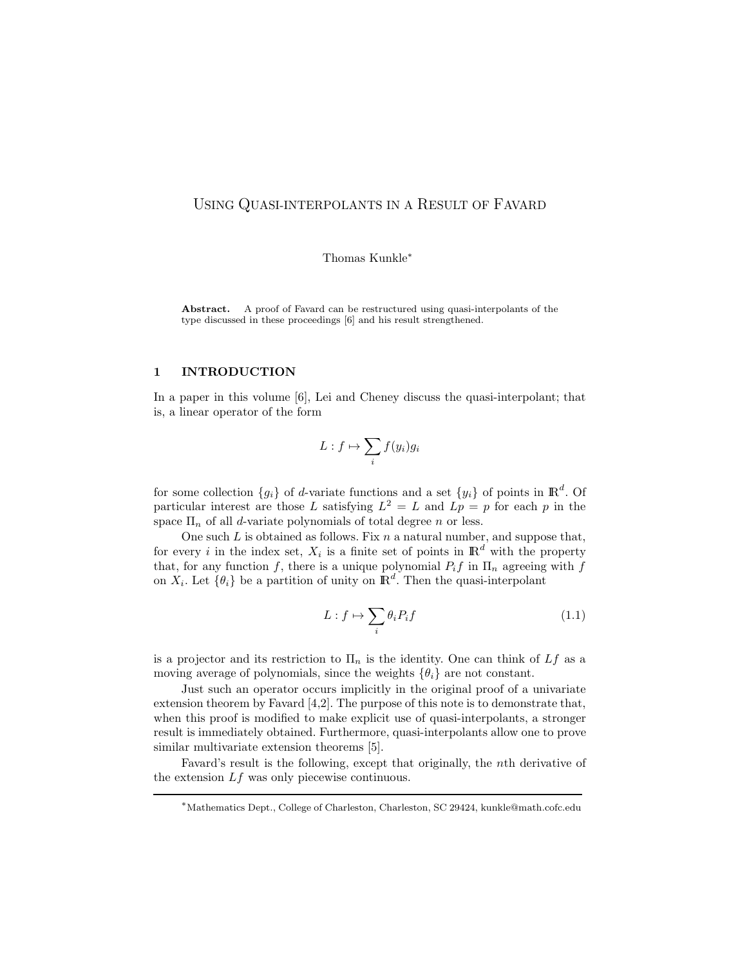## USING QUASI-INTERPOLANTS IN A RESULT OF FAVARD

Thomas Kunkle<sup>∗</sup>

Abstract. A proof of Favard can be restructured using quasi-interpolants of the type discussed in these proceedings [6] and his result strengthened.

## 1 INTRODUCTION

In a paper in this volume  $[6]$ , Lei and Cheney discuss the quasi-interpolant; that is, a linear operator of the form

$$
L: f \mapsto \sum_i f(y_i)g_i
$$

for some collection  $\{g_i\}$  of d-variate functions and a set  $\{y_i\}$  of points in  $\mathbb{R}^d$ . Of particular interest are those L satisfying  $L^2 = L$  and  $Lp = p$  for each p in the space  $\Pi_n$  of all *d*-variate polynomials of total degree *n* or less.

One such  $L$  is obtained as follows. Fix  $n$  a natural number, and suppose that, for every i in the index set,  $X_i$  is a finite set of points in  $\mathbb{R}^d$  with the property that, for any function f, there is a unique polynomial  $P_i f$  in  $\Pi_n$  agreeing with f on  $X_i$ . Let  $\{\theta_i\}$  be a partition of unity on  $\mathbb{R}^d$ . Then the quasi-interpolant

$$
L: f \mapsto \sum_{i} \theta_i P_i f \tag{1.1}
$$

is a projector and its restriction to  $\Pi_n$  is the identity. One can think of Lf as a moving average of polynomials, since the weights  $\{\theta_i\}$  are not constant.

Just such an operator occurs implicitly in the original proof of a univariate extension theorem by Favard [4,2]. The purpose of this note is to demonstrate that, when this proof is modified to make explicit use of quasi-interpolants, a stronger result is immediately obtained. Furthermore, quasi-interpolants allow one to prove similar multivariate extension theorems [5].

Favard's result is the following, except that originally, the nth derivative of the extension  $Lf$  was only piecewise continuous.

<sup>∗</sup>Mathematics Dept., College of Charleston, Charleston, SC 29424, kunkle@math.cofc.edu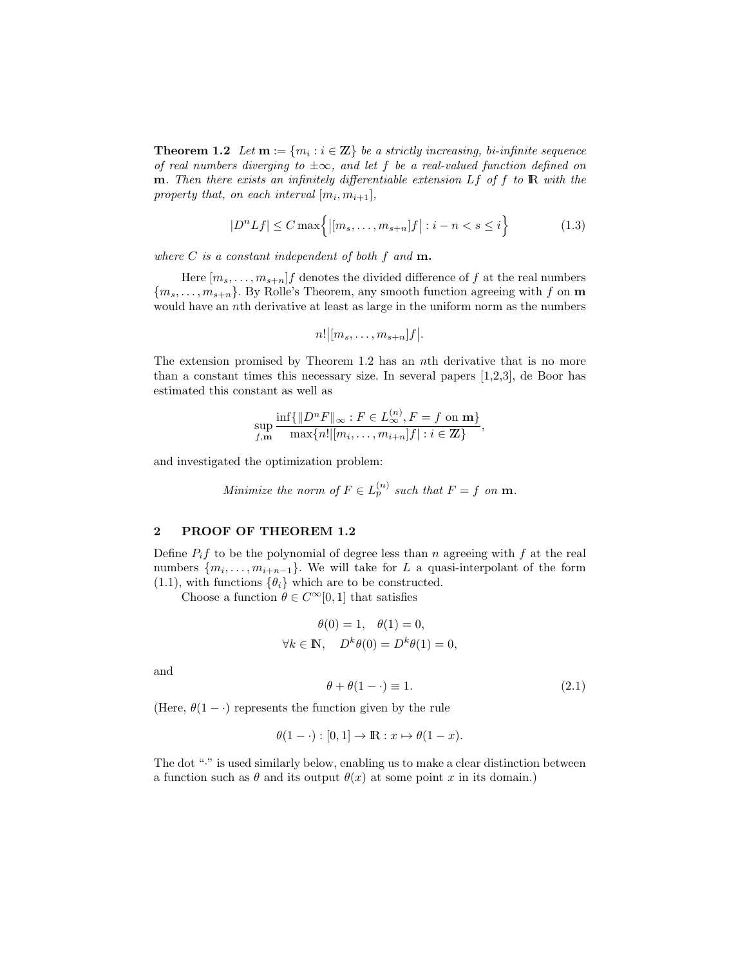**Theorem 1.2** Let  $\mathbf{m} := \{m_i : i \in \mathbb{Z}\}\$ be a strictly increasing, bi-infinite sequence of real numbers diverging to  $\pm \infty$ , and let f be a real-valued function defined on **m**. Then there exists an infinitely differentiable extension  $Lf$  of f to  $R$  with the property that, on each interval  $[m_i, m_{i+1}]$ ,

$$
|D^n Lf| \le C \max\left\{ \left| [m_s, \dots, m_{s+n}]f \right| : i-n < s \le i \right\} \tag{1.3}
$$

where  $C$  is a constant independent of both  $f$  and  $\mathbf{m}$ .

Here  $[m_s, \ldots, m_{s+n}]$  denotes the divided difference of f at the real numbers  ${m_s, \ldots, m_{s+n}}$ . By Rolle's Theorem, any smooth function agreeing with f on m would have an nth derivative at least as large in the uniform norm as the numbers

$$
n! | [m_s, \ldots, m_{s+n}]f |.
$$

The extension promised by Theorem 1.2 has an nth derivative that is no more than a constant times this necessary size. In several papers [1,2,3], de Boor has estimated this constant as well as

$$
\sup_{f,\mathbf{m}} \frac{\inf\{||D^nF||_{\infty} : F \in L_{\infty}^{(n)}, F = f \text{ on } \mathbf{m}\}}{\max\{n! | [m_i, \dots, m_{i+n}]f| : i \in \mathbb{Z}\}},
$$

and investigated the optimization problem:

Minimize the norm of 
$$
F \in L_p^{(n)}
$$
 such that  $F = f$  on **m**.

 $\sim$ 

## 2 PROOF OF THEOREM 1.2

Define  $P_i f$  to be the polynomial of degree less than n agreeing with f at the real numbers  $\{m_i, \ldots, m_{i+n-1}\}$ . We will take for L a quasi-interpolant of the form (1.1), with functions  $\{\theta_i\}$  which are to be constructed.

Choose a function  $\theta \in C^{\infty}[0,1]$  that satisfies

$$
\theta(0) = 1, \quad \theta(1) = 0,
$$
  

$$
\forall k \in \mathbb{N}, \quad D^k \theta(0) = D^k \theta(1) = 0,
$$

and

$$
\theta + \theta(1 - \cdot) \equiv 1. \tag{2.1}
$$

(Here,  $\theta(1-\cdot)$ ) represents the function given by the rule

$$
\theta(1-\cdot): [0,1] \to \mathbb{R}: x \mapsto \theta(1-x).
$$

The dot "." is used similarly below, enabling us to make a clear distinction between a function such as  $\theta$  and its output  $\theta(x)$  at some point x in its domain.)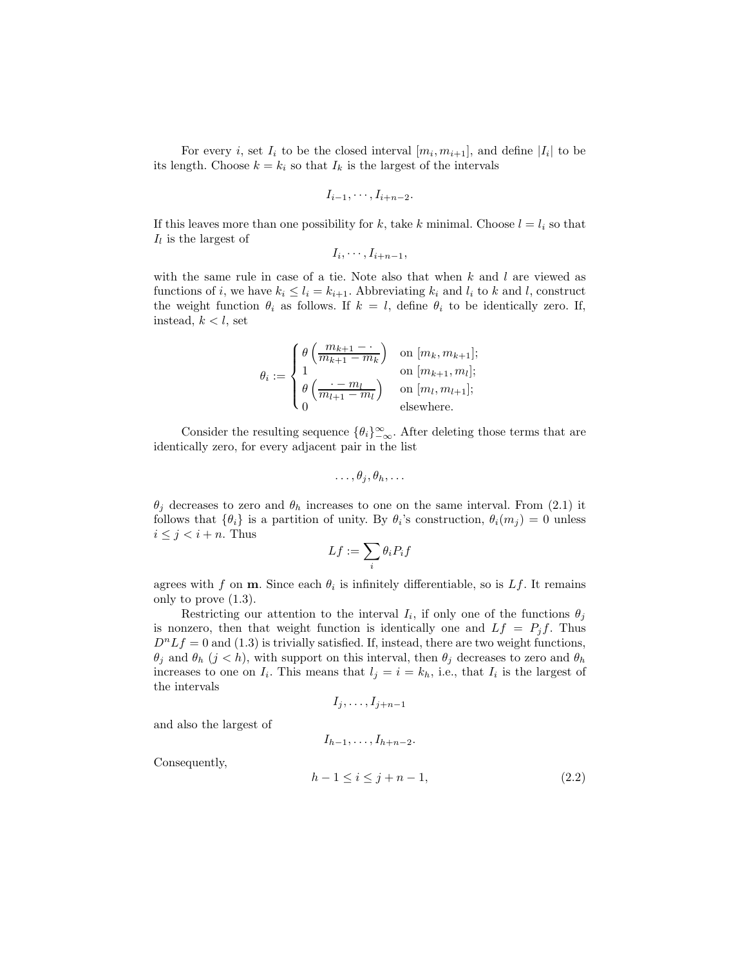For every *i*, set  $I_i$  to be the closed interval  $[m_i, m_{i+1}]$ , and define  $|I_i|$  to be its length. Choose  $k = k_i$  so that  $I_k$  is the largest of the intervals

$$
I_{i-1},\cdots,I_{i+n-2}.
$$

If this leaves more than one possibility for k, take k minimal. Choose  $l = l_i$  so that  $I_l$  is the largest of

$$
I_i,\cdots,I_{i+n-1},
$$

with the same rule in case of a tie. Note also that when  $k$  and  $l$  are viewed as functions of i, we have  $k_i \leq l_i = k_{i+1}$ . Abbreviating  $k_i$  and  $l_i$  to k and l, construct the weight function  $\theta_i$  as follows. If  $k = l$ , define  $\theta_i$  to be identically zero. If, instead,  $k < l$ , set

$$
\theta_i := \begin{cases} \theta\left(\frac{m_{k+1} - \cdot}{m_{k+1} - m_k}\right) & \text{on } [m_k, m_{k+1}]; \\ 1 & \text{on } [m_{k+1}, m_l]; \\ \theta\left(\frac{\cdot - m_l}{m_{l+1} - m_l}\right) & \text{on } [m_l, m_{l+1}]; \\ 0 & \text{elsewhere.} \end{cases}
$$

Consider the resulting sequence  $\{\theta_i\}_{-\infty}^{\infty}$ . After deleting those terms that are identically zero, for every adjacent pair in the list

$$
\ldots, \theta_j, \theta_h, \ldots
$$

 $\theta_j$  decreases to zero and  $\theta_h$  increases to one on the same interval. From (2.1) it follows that  $\{\theta_i\}$  is a partition of unity. By  $\theta_i$ 's construction,  $\theta_i(m_j) = 0$  unless  $i \leq j < i+n$ . Thus

$$
Lf:=\sum_i\theta_iP_if
$$

agrees with f on **m**. Since each  $\theta_i$  is infinitely differentiable, so is Lf. It remains only to prove (1.3).

Restricting our attention to the interval  $I_i$ , if only one of the functions  $\theta_j$ is nonzero, then that weight function is identically one and  $Lf = P_j f$ . Thus  $D^{n}Lf = 0$  and (1.3) is trivially satisfied. If, instead, there are two weight functions,  $\theta_j$  and  $\theta_h$  (j < h), with support on this interval, then  $\theta_j$  decreases to zero and  $\theta_h$ increases to one on  $I_i$ . This means that  $l_j = i = k_h$ , i.e., that  $I_i$  is the largest of the intervals

$$
I_j,\ldots,I_{j+n-1}
$$

and also the largest of

$$
I_{h-1},\ldots,I_{h+n-2}.
$$

Consequently,

$$
h - 1 \le i \le j + n - 1,\tag{2.2}
$$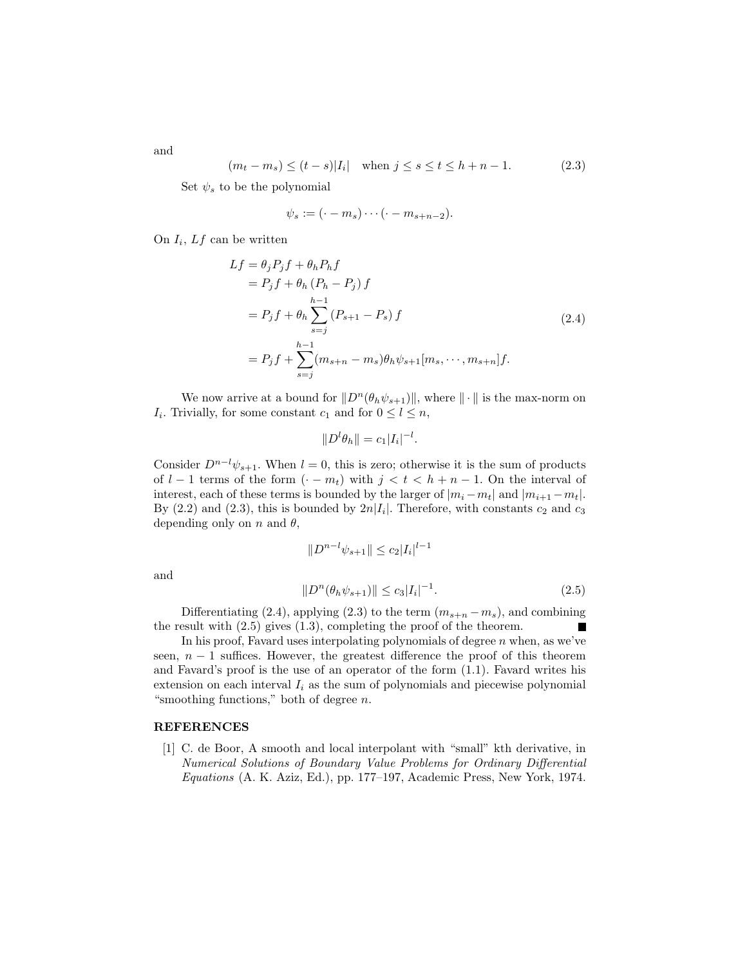$$
(m_t - m_s) \le (t - s)|I_i| \text{ when } j \le s \le t \le h + n - 1.
$$
 (2.3)

Set  $\psi_s$  to be the polynomial

$$
\psi_s := (\cdot - m_s) \cdots (\cdot - m_{s+n-2}).
$$

On  $I_i$ ,  $Lf$  can be written

$$
Lf = \theta_j P_j f + \theta_h P_h f
$$
  
=  $P_j f + \theta_h (P_h - P_j) f$   
=  $P_j f + \theta_h \sum_{s=j}^{h-1} (P_{s+1} - P_s) f$  (2.4)  
=  $P_j f + \sum_{s=j}^{h-1} (m_{s+n} - m_s) \theta_h \psi_{s+1} [m_s, \dots, m_{s+n}] f.$ 

We now arrive at a bound for  $\|D^n(\theta_h \psi_{s+1})\|$ , where  $\|\cdot\|$  is the max-norm on  $I_i$ . Trivially, for some constant  $c_1$  and for  $0 \leq l \leq n$ ,

$$
||D^l\theta_h|| = c_1|I_i|^{-l}.
$$

Consider  $D^{n-l}\psi_{s+1}$ . When  $l=0$ , this is zero; otherwise it is the sum of products of  $l-1$  terms of the form  $(-m_t)$  with  $j < t < h+n-1$ . On the interval of interest, each of these terms is bounded by the larger of  $|m_i - m_t|$  and  $|m_{i+1} - m_t|$ . By  $(2.2)$  and  $(2.3)$ , this is bounded by  $2n|I_i|$ . Therefore, with constants  $c_2$  and  $c_3$ depending only on n and  $\theta$ ,

$$
||D^{n-l}\psi_{s+1}|| \le c_2|I_i|^{l-1}
$$

and

$$
||D^n(\theta_h \psi_{s+1})|| \le c_3 |I_i|^{-1}.
$$
\n(2.5)

Differentiating (2.4), applying (2.3) to the term  $(m_{s+n} - m_s)$ , and combining the result with  $(2.5)$  gives  $(1.3)$ , completing the proof of the theorem.

In his proof, Favard uses interpolating polynomials of degree  $n$  when, as we've seen,  $n - 1$  suffices. However, the greatest difference the proof of this theorem and Favard's proof is the use of an operator of the form (1.1). Favard writes his extension on each interval  $I_i$  as the sum of polynomials and piecewise polynomial "smoothing functions," both of degree  $n$ .

## REFERENCES

[1] C. de Boor, A smooth and local interpolant with "small" kth derivative, in Numerical Solutions of Boundary Value Problems for Ordinary Differential Equations (A. K. Aziz, Ed.), pp. 177–197, Academic Press, New York, 1974.

and